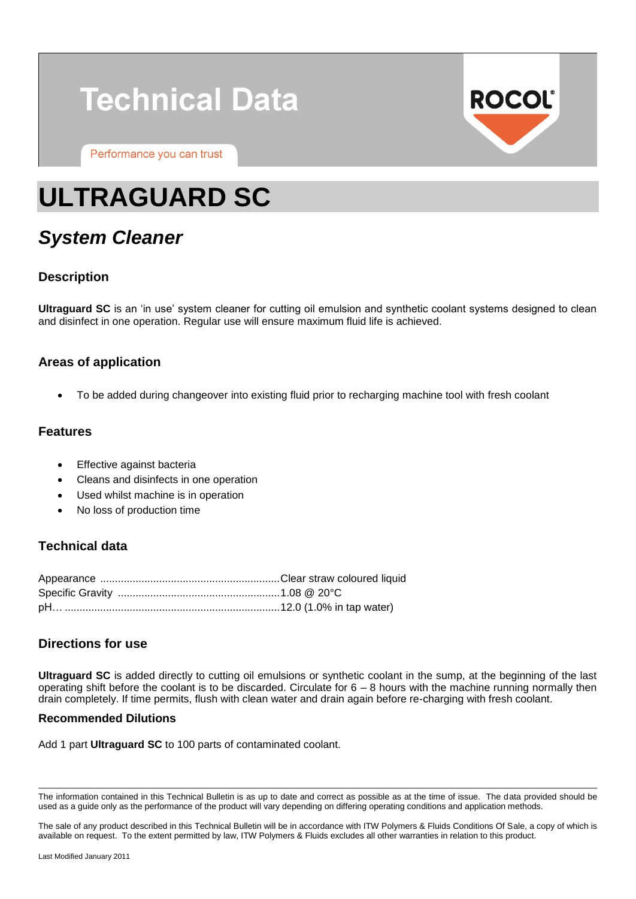# **Technical Data**

Performance you can trust



## **ULTRAGUARD SC**

### *System Cleaner*

#### **Description**

**Ultraguard SC** is an 'in use' system cleaner for cutting oil emulsion and synthetic coolant systems designed to clean and disinfect in one operation. Regular use will ensure maximum fluid life is achieved.

#### **Areas of application**

To be added during changeover into existing fluid prior to recharging machine tool with fresh coolant

#### **Features**

- Effective against bacteria
- Cleans and disinfects in one operation
- Used whilst machine is in operation
- No loss of production time

#### **Technical data**

#### **Directions for use**

**Ultraguard SC** is added directly to cutting oil emulsions or synthetic coolant in the sump, at the beginning of the last operating shift before the coolant is to be discarded. Circulate for 6 – 8 hours with the machine running normally then drain completely. If time permits, flush with clean water and drain again before re-charging with fresh coolant.

#### **Recommended Dilutions**

Add 1 part **Ultraguard SC** to 100 parts of contaminated coolant.

The sale of any product described in this Technical Bulletin will be in accordance with ITW Polymers & Fluids Conditions Of Sale, a copy of which is available on request. To the extent permitted by law, ITW Polymers & Fluids excludes all other warranties in relation to this product.

The information contained in this Technical Bulletin is as up to date and correct as possible as at the time of issue. The data provided should be used as a guide only as the performance of the product will vary depending on differing operating conditions and application methods.